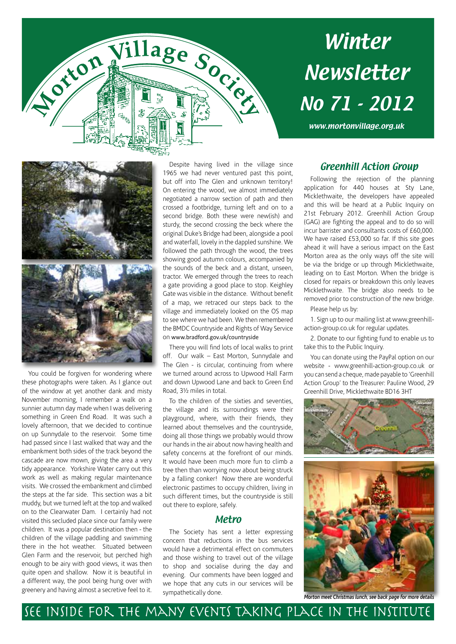

# Winter Newsletter No 71 - 2012

www.mortonvillage.org.uk



You could be forgiven for wondering where these photographs were taken. As I glance out of the window at yet another dank and misty November morning, I remember a walk on a sunnier autumn day made when I was delivering something in Green End Road. It was such a lovely afternoon, that we decided to continue on up Sunnydale to the reservoir. Some time had passed since I last walked that way and the embankment both sides of the track beyond the cascade are now mown, giving the area a very tidy appearance. Yorkshire Water carry out this work as well as making regular maintenance visits. We crossed the embankment and climbed the steps at the far side. This section was a bit muddy, but we turned left at the top and walked on to the Clearwater Dam. I certainly had not visited this secluded place since our family were children. It was a popular destination then - the children of the village paddling and swimming there in the hot weather. Situated between Glen Farm and the reservoir, but perched high enough to be airy with good views, it was then quite open and shallow. Now it is beautiful in a different way, the pool being hung over with greenery and having almost a secretive feel to it.

Despite having lived in the village since 1965 we had never ventured past this point, but off into The Glen and unknown territory! On entering the wood, we almost immediately negotiated a narrow section of path and then crossed a footbridge, turning left and on to a second bridge. Both these were new(ish) and sturdy, the second crossing the beck where the original Duke's Bridge had been, alongside a pool and waterfall, lovely in the dappled sunshine. We followed the path through the wood, the trees showing good autumn colours, accompanied by the sounds of the beck and a distant, unseen, tractor. We emerged through the trees to reach a gate providing a good place to stop. Keighley Gate was visible in the distance. Without benefit of a map, we retraced our steps back to the village and immediately looked on the OS map to see where we had been. We then remembered the BMDC Countryside and Rights of Way Service on www.bradford.gov.uk/countryside

There you will find lots of local walks to print off. Our walk – East Morton, Sunnydale and The Glen - is circular, continuing from where we turned around across to Upwood Hall Farm and down Upwood Lane and back to Green End Road, 3½ miles in total.

To the children of the sixties and seventies, the village and its surroundings were their playground, where, with their friends, they learned about themselves and the countryside, doing all those things we probably would throw our hands in the air about now having health and safety concerns at the forefront of our minds. It would have been much more fun to climb a tree then than worrying now about being struck by a falling conker! Now there are wonderful electronic pastimes to occupy children, living in such different times, but the countryside is still out there to explore, safely.

#### Metro

The Society has sent a letter expressing concern that reductions in the bus services would have a detrimental effect on commuters and those wishing to travel out of the village to shop and socialise during the day and evening. Our comments have been logged and we hope that any cuts in our services will be sympathetically done.

See inside for the many events taking place in the Institute

#### Greenhill Action Group

Following the rejection of the planning application for 440 houses at Sty Lane, Micklethwaite, the developers have appealed and this will be heard at a Public Inquiry on 21st February 2012. Greenhill Action Group (GAG) are fighting the appeal and to do so will incur barrister and consultants costs of £60,000. We have raised £53,000 so far. If this site goes ahead it will have a serious impact on the East Morton area as the only ways off the site will be via the bridge or up through Micklethwaite, leading on to East Morton. When the bridge is closed for repairs or breakdown this only leaves Micklethwaite. The bridge also needs to be removed prior to construction of the new bridge.

Please help us by:

1. Sign up to our mailing list at www.greenhillaction-group.co.uk for regular updates.

2. Donate to our fighting fund to enable us to take this to the Public Inquiry.

You can donate using the PayPal option on our website - www.greenhill-action-group.co.uk or you can send a cheque, made payable to 'Greenhill Action Group' to the Treasurer: Pauline Wood, 29 Greenhill Drive, Micklethwaite BD16 3HT



*Morton meet Christmas lunch, see back page for more details*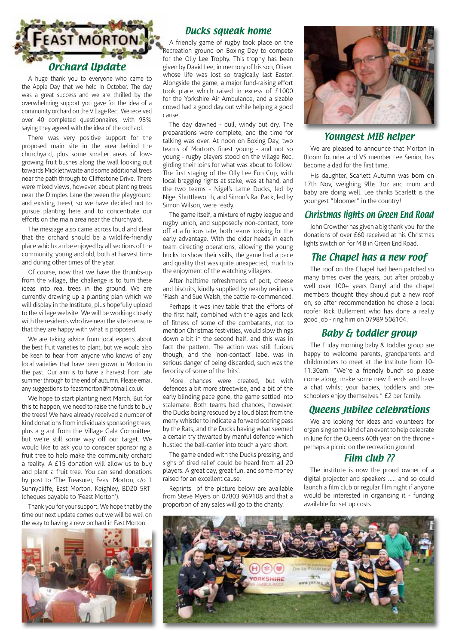

A huge thank you to everyone who came to the Apple Day that we held in October. The day was a great success and we are thrilled by the overwhelming support you gave for the idea of a community orchard on the Village Rec. We received over 40 completed questionnaires, with 98% saying they agreed with the idea of the orchard.

There was very positive support for the proposed main site in the area behind the churchyard, plus some smaller areas of lowgrowing fruit bushes along the wall looking out towards Micklethwaite and some additional trees near the path through to Cliffestone Drive. There were mixed views, however, about planting trees near the Dimples Lane (between the playground and existing trees), so we have decided not to pursue planting here and to concentrate our efforts on the main area near the churchyard.

The message also came across loud and clear that the orchard should be a wildlife-friendly place which can be enjoyed by all sections of the community, young and old, both at harvest time and during other times of the year.

Of course, now that we have the thumbs-up from the village, the challenge is to turn these ideas into real trees in the ground. We are currently drawing up a planting plan which we will display in the Institute, plus hopefully upload to the village website. We will be working closely with the residents who live near the site to ensure that they are happy with what is proposed.

We are taking advice from local experts about the best fruit varieties to plant, but we would also be keen to hear from anyone who knows of any local varieties that have been grown in Morton in the past. Our aim is to have a harvest from late summer through to the end of autumn. Please email any suggestions to feastmorton@hotmail.co.uk

We hope to start planting next March. But for this to happen, we need to raise the funds to buy the trees! We have already received a number of kind donations from individuals sponsoring trees, plus a grant from the Village Gala Committee, but we're still some way off our target. We would like to ask you to consider sponsoring a fruit tree to help make the community orchard a reality. A £15 donation will allow us to buy and plant a fruit tree. You can send donations by post to 'The Treasurer, Feast Morton, c/o 1 Sunnycliffe, East Morton, Keighley, BD20 5RT' (cheques payable to 'Feast Morton').

Thank you for your support. We hope that by the time our next update comes out we will be well on the way to having a new orchard in East Morton.



#### Ducks squeak home

A friendly game of rugby took place on the Recreation ground on Boxing Day to compete for the Olly Lee Trophy. This trophy has been given by David Lee, in memory of his son, Oliver, whose life was lost so tragically last Easter. Alongside the game, a major fund-raising effort took place which raised in excess of £1000 for the Yorkshire Air Ambulance, and a sizable crowd had a good day out while helping a good cause.

The day dawned - dull, windy but dry. The preparations were complete, and the time for talking was over. At noon on Boxing Day, two teams of Morton's finest young - and not so young - rugby players stood on the village Rec, girding their loins for what was about to follow. The first staging of the Olly Lee Fun Cup, with local bragging rights at stake, was at hand, and the two teams - Nigel's Lame Ducks, led by Nigel Shuttleworth, and Simon's Rat Pack, led by Simon Wilson, were ready.

The game itself, a mixture of rugby league and rugby union, and supposedly non-contact, tore off at a furious rate, both teams looking for the early advantage. With the older heads in each team directing operations, allowing the young bucks to show their skills, the game had a pace and quality that was quite unexpected, much to the enjoyment of the watching villagers.

After halftime refreshments of port, cheese and biscuits, kindly supplied by nearby residents 'Flash' and Sue Walsh, the battle re-commenced.

Perhaps it was inevitable that the efforts of the first half, combined with the ages and lack of fitness of some of the combatants, not to mention Christmas festivities, would slow things down a bit in the second half, and this was in fact the pattern. The action was still furious though, and the 'non-contact' label was in serious danger of being discarded, such was the ferocity of some of the 'hits'.

More chances were created, but with defences a bit more streetwise, and a bit of the early blinding pace gone, the game settled into stalemate. Both teams had chances, however, the Ducks being rescued by a loud blast from the merry whistler to indicate a forward scoring pass by the Rats, and the Ducks having what seemed a certain try thwarted by manful defence which hustled the ball-carrier into touch a yard short.

The game ended with the Ducks pressing, and sighs of tired relief could be heard from all 20 players. A great day, great fun, and some money raised for an excellent cause.

Reprints of the picture below are available from Steve Myers on 07803 969108 and that a proportion of any sales will go to the charity.



#### Youngest MIB helper

We are pleased to announce that Morton In Bloom founder and VS member Lee Senior, has become a dad for the first time.

His daughter, Scarlett Autumn was born on 17th Nov, weighing 9lbs 3oz and mum and baby are doing well. Lee thinks Scarlett is the youngest "bloomer" in the country!

#### Christmas lights on Green End Road

John Crowther has given a big thank you for the donations of over £60 received at his Christmas lights switch on for MIB in Green End Road.

#### The Chapel has a new roof

The roof on the Chapel had been patched so many times over the years, but after probably well over 100+ years Darryl and the chapel members thought they should put a new roof on, so after recommendation he chose a local roofer Rick Bullement who has done a really good job - ring him on 07989 506104.

#### Baby & toddler group

The Friday morning baby & toddler group are happy to welcome parents, grandparents and childminders to meet at the Institute from 10- 11.30am. "We're a friendly bunch so please come along, make some new friends and have a chat whilst your babies, toddlers and preschoolers enjoy themselves." £2 per family.

#### Queens Jubilee celebrations

We are looking for ideas and volunteers for organising some kind of an event to help celebrate in June for the Queens 60th year on the throne perhaps a picnic on the recreation ground

#### Film club<sub>22</sub>

The institute is now the proud owner of a digital projector and speakers ..... and so could launch a film club or regular film night if anyone would be interested in organising it - funding available for set up costs.

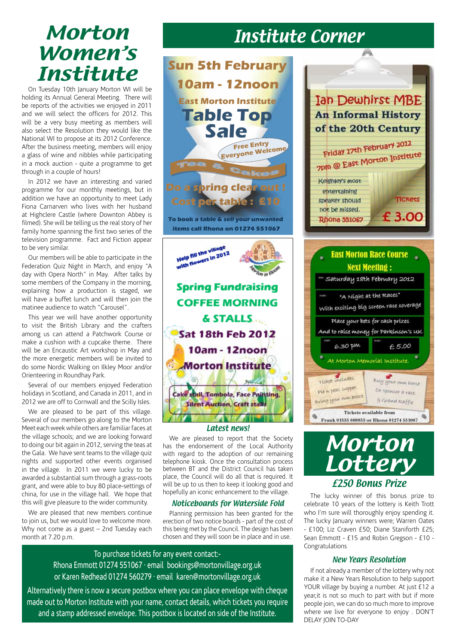### Morton Women's Institute

On Tuesday 10th January Morton WI will be holding its Annual General Meeting. There will be reports of the activities we enjoyed in 2011 and we will select the officers for 2012. This will be a very busy meeting as members will also select the Resolution they would like the National WI to propose at its 2012 Conference. After the business meeting, members will enjoy a glass of wine and nibbles while participating in a mock auction - quite a programme to get through in a couple of hours!

In 2012 we have an interesting and varied programme for our monthly meetings, but in addition we have an opportunity to meet Lady Fiona Carnarven who lives with her husband at Highclere Castle (where Downton Abbey is filmed). She will be telling us the real story of her family home spanning the first two series of the television programme. Fact and Fiction appear to be very similar.

Our members will be able to participate in the Federation Quiz Night in March, and enjoy "A day with Opera North" in May. After talks by some members of the Company in the morning, explaining how a production is staged, we will have a buffet lunch and will then join the matinee audience to watch "Carousel".

This year we will have another opportunity to visit the British Library and the crafters among us can attend a Patchwork Course or make a cushion with a cupcake theme. There will be an Encaustic Art workshop in May and the more energetic members will be invited to do some Nordic Walking on Ilkley Moor and/or Orienteering in Roundhay Park.

Several of our members enjoyed Federation holidays in Scotland, and Canada in 2011, and in 2012 we are off to Cornwall and the Scilly Isles.

We are pleased to be part of this village. Several of our members go along to the Morton Meet each week while others are familiar faces at the village schools; and we are looking forward to doing our bit again in 2012, serving the teas at the Gala. We have sent teams to the village quiz nights and supported other events organised in the village. In 2011 we were lucky to be awarded a substantial sum through a grass-roots grant, and were able to buy 80 place-settings of china, for use in the village hall. We hope that this will give pleasure to the wider community.

We are pleased that new members continue to join us, but we would love to welcome more. Why not come as a guest – 2nd Tuesday each month at 7.20 p.m.



We are pleased to report that the Society has the endorsement of the Local Authority with regard to the adoption of our remaining telephone kiosk. Once the consultation process between BT and the District Council has taken place, the Council will do all that is required. It will be up to us then to keep it looking good and hopefully an iconic enhancement to the village.

#### Noticeboards for Waterside Fold

Planning permission has been granted for the erection of two notice boards - part of the cost of this being met by the Council. The design has been chosen and they will soon be in place and in use.

To purchase tickets for any event contact:- Rhona Emmott 01274 551067 · email bookings@mortonvillage.org.uk or Karen Redhead 01274 560279 · email karen@mortonvillage.org.uk

Alternatively there is now a secure postbox where you can place envelope with cheque made out to Morton Institute with your name, contact details, which tickets you require and a stamp addressed envelope. This postbox is located on side of the Institute.



A



**Tickets available from** 

Frank 01535 608853 or Rhona 01274 551067

Q

The lucky winner of this bonus prize to celebrate 10 years of the lottery is Keith Trott who I'm sure will thoroughly enjoy spending it. The lucky January winners were; Warren Oates - £100; Liz Craven £50; Diane Staniforth £25; Sean Emmott - £15 and Robin Gregson - £10 - Congratulations

#### New Years Resolution

If not already a member of the lottery why not make it a New Years Resolution to help support YOUR village by buying a number. At just £12 a year,it is not so much to part with but if more people join, we can do so much more to improve where we live for everyone to enjoy . DON'T DELAY JOIN TO-DAY

### Institute Corner